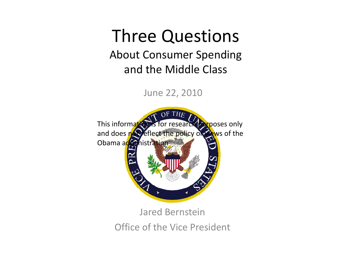### Three Questions About Consumer Spending and the Middle Class

June 22, 2010



Office of the Vice President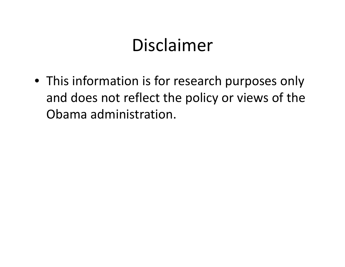## Disclaimer

• This information is for research purposes only and does not reflect the policy or views of the Obama administration.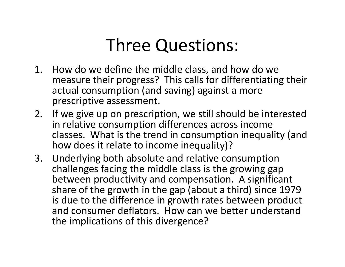# Three Questions:

- 1. How do we define the middle class, and how do we measure their progress? This calls for differentiating their actual consumption (and saving) against a more prescriptive assessment.
- 2. If we give up on prescription, we still should be interested in relative consumption differences across income classes. What is the trend in consumption inequality (and how does it relate to income inequality)?
- 3. Underlying both absolute and relative consumption challenges facing the middle class is the growing gap between productivity and compensation. A significant share of the growth in the gap (about a third) since 1979 is due to the difference in growth rates between product and consumer deflators. How can we better understand the implications of this divergence?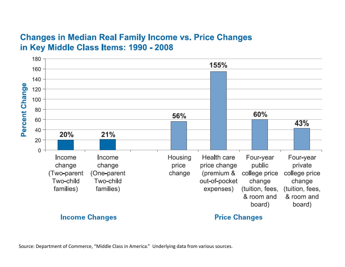#### **Changes in Median Real Family Income vs. Price Changes** in Key Middle Class Items: 1990 - 2008



Source: Department of Commerce, "Middle Class in America." Underlying data from various sources.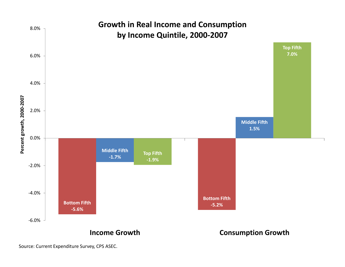

Source: Current Expenditure Survey, CPS ASEC.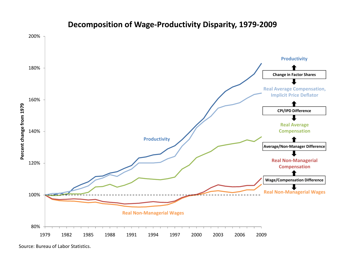

#### **Decomposition of Wage‐Productivity Disparity, 1979‐2009**

Source: Bureau of Labor Statistics.